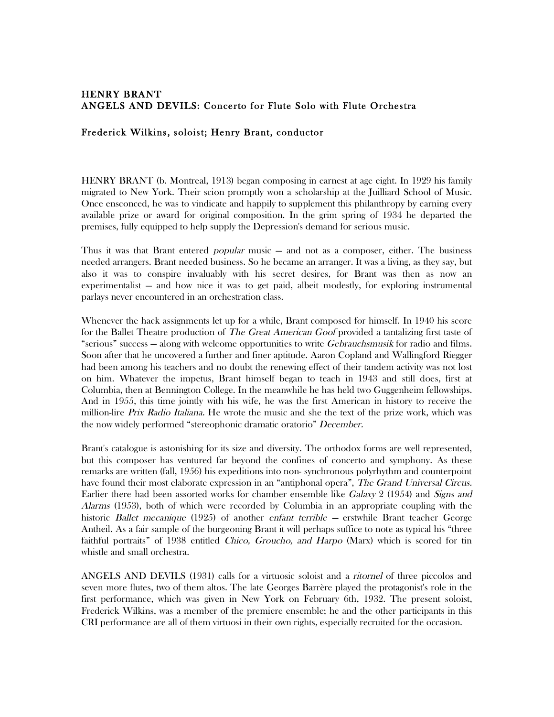## HENRY BRANT ANGELS AND DEVILS: Concerto for Flute Solo with Flute Orchestra

## Frederick Wilkins, soloist; Henry Brant, conductor

HENRY BRANT (b. Montreal, 1913) began composing in earnest at age eight. In 1929 his family migrated to New York. Their scion promptly won a scholarship at the Juilliard School of Music. Once ensconced, he was to vindicate and happily to supplement this philanthropy by earning every available prize or award for original composition. In the grim spring of 1934 he departed the premises, fully equipped to help supply the Depression's demand for serious music.

Thus it was that Brant entered *popular* music – and not as a composer, either. The business needed arrangers. Brant needed business. So he became an arranger. It was a living, as they say, but also it was to conspire invaluably with his secret desires, for Brant was then as now an experimentalist — and how nice it was to get paid, albeit modestly, for exploring instrumental parlays never encountered in an orchestration class.

Whenever the hack assignments let up for a while, Brant composed for himself. In 1940 his score for the Ballet Theatre production of *The Great American Goof* provided a tantalizing first taste of "serious" success – along with welcome opportunities to write *Gebrauchsmusik* for radio and films. Soon after that he uncovered a further and finer aptitude. Aaron Copland and Wallingford Riegger had been among his teachers and no doubt the renewing effect of their tandem activity was not lost on him. Whatever the impetus, Brant himself began to teach in 1943 and still does, first at Columbia, then at Bennington College. In the meanwhile he has held two Guggenheim fellowships. And in 1955, this time jointly with his wife, he was the first American in history to receive the million-lire *Prix Radio Italiana*. He wrote the music and she the text of the prize work, which was the now widely performed "stereophonic dramatic oratorio" December.

Brant's catalogue is astonishing for its size and diversity. The orthodox forms are well represented, but this composer has ventured far beyond the confines of concerto and symphony. As these remarks are written (fall, 1956) his expeditions into non- synchronous polyrhythm and counterpoint have found their most elaborate expression in an "antiphonal opera", The Grand Universal Circus. Earlier there had been assorted works for chamber ensemble like *Galaxy* 2 (1954) and *Signs and* Alarms (1953), both of which were recorded by Columbia in an appropriate coupling with the historic *Ballet mecanique* (1925) of another enfant terrible — erstwhile Brant teacher George Antheil. As a fair sample of the burgeoning Brant it will perhaps suffice to note as typical his "three faithful portraits" of 1938 entitled *Chico, Groucho, and Harpo* (Marx) which is scored for tin whistle and small orchestra.

ANGELS AND DEVILS (1931) calls for a virtuosic soloist and a ritornel of three piccolos and seven more flutes, two of them altos. The late Georges Barrère played the protagonist's role in the first performance, which was given in New York on February 6th, 1932. The present soloist, Frederick Wilkins, was a member of the premiere ensemble; he and the other participants in this CRI performance are all of them virtuosi in their own rights, especially recruited for the occasion.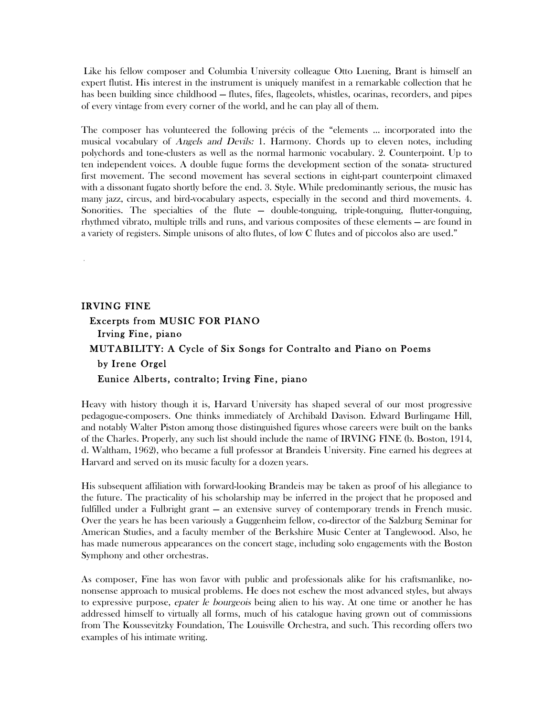Like his fellow composer and Columbia University colleague Otto Luening, Brant is himself an expert flutist. His interest in the instrument is uniquely manifest in a remarkable collection that he has been building since childhood — flutes, fifes, flageolets, whistles, ocarinas, recorders, and pipes of every vintage from every corner of the world, and he can play all of them.

The composer has volunteered the following précis of the "elements ... incorporated into the musical vocabulary of *Angels and Devils:* 1. Harmony. Chords up to eleven notes, including polychords and tone-clusters as well as the normal harmonic vocabulary. 2. Counterpoint. Up to ten independent voices. A double fugue forms the development section of the sonata- structured first movement. The second movement has several sections in eight-part counterpoint climaxed with a dissonant fugato shortly before the end. 3. Style. While predominantly serious, the music has many jazz, circus, and bird-vocabulary aspects, especially in the second and third movements. 4. Sonorities. The specialties of the flute — double-tonguing, triple-tonguing, flutter-tonguing, rhythmed vibrato, multiple trills and runs, and various composites of these elements — are found in a variety of registers. Simple unisons of alto flutes, of low C flutes and of piccolos also are used."

## IRVING FINE Excerpts from MUSIC FOR PIANO Irving Fine, piano MUTABILITY: A Cycle of Six Songs for Contralto and Piano on Poems by Irene Orgel Eunice Alberts, contralto; Irving Fine, piano

Heavy with history though it is, Harvard University has shaped several of our most progressive pedagogue-composers. One thinks immediately of Archibald Davison. Edward Burlingame Hill, and notably Walter Piston among those distinguished figures whose careers were built on the banks of the Charles. Properly, any such list should include the name of IRVING FINE (b. Boston, 1914, d. Waltham, 1962), who became a full professor at Brandeis University. Fine earned his degrees at Harvard and served on its music faculty for a dozen years.

His subsequent affiliation with forward-looking Brandeis may be taken as proof of his allegiance to the future. The practicality of his scholarship may be inferred in the project that he proposed and fulfilled under a Fulbright grant — an extensive survey of contemporary trends in French music. Over the years he has been variously a Guggenheim fellow, co-director of the Salzburg Seminar for American Studies, and a faculty member of the Berkshire Music Center at Tanglewood. Also, he has made numerous appearances on the concert stage, including solo engagements with the Boston Symphony and other orchestras.

As composer, Fine has won favor with public and professionals alike for his craftsmanlike, nononsense approach to musical problems. He does not eschew the most advanced styles, but always to expressive purpose, epater le bourgeois being alien to his way. At one time or another he has addressed himself to virtually all forms, much of his catalogue having grown out of commissions from The Koussevitzky Foundation, The Louisville Orchestra, and such. This recording offers two examples of his intimate writing.